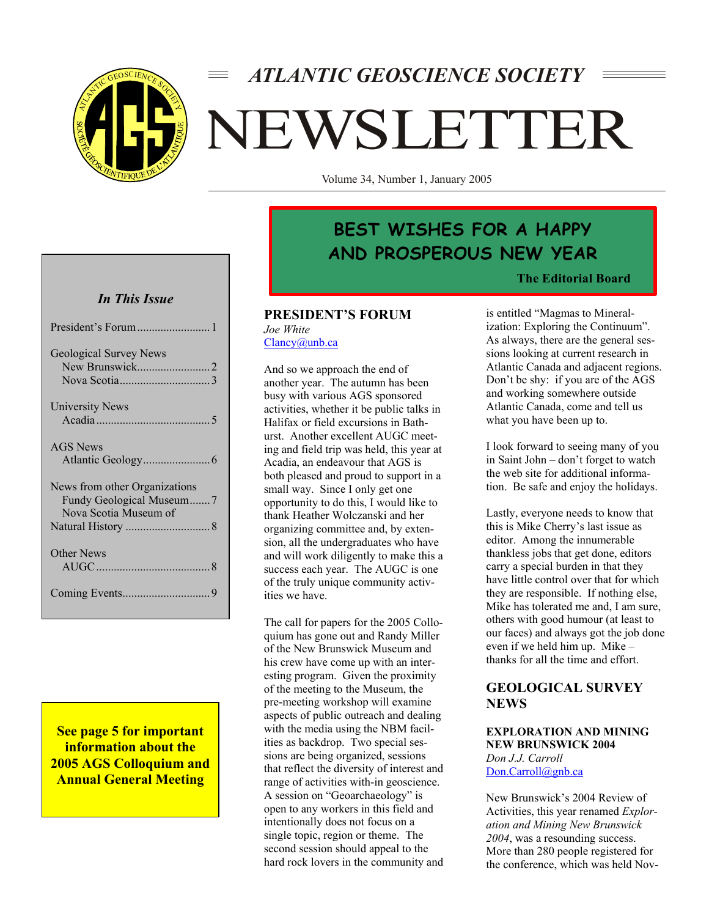

# *ATLANTIC GEOSCIENCE SOCIETY* NEWSLETTER

Volume 34, Number 1, January 2005

## *In This Issue*

| President's Forum  1                                                               |
|------------------------------------------------------------------------------------|
| <b>Geological Survey News</b>                                                      |
| University News                                                                    |
| AGS News                                                                           |
| News from other Organizations<br>Fundy Geological Museum7<br>Nova Scotia Museum of |
| Other News                                                                         |
|                                                                                    |

**See page 5 for important information about the 2005 AGS Colloquium and Annual General Meeting** 

## **BEST WISHES FOR A HAPPY AND PROSPEROUS NEW YEAR**

#### **The Editorial Board**

#### **PRESIDENT'S FORUM**  *Joe White*  Clancy@unb.ca

And so we approach the end of another year. The autumn has been busy with various AGS sponsored activities, whether it be public talks in Halifax or field excursions in Bathurst. Another excellent AUGC meeting and field trip was held, this year at Acadia, an endeavour that AGS is both pleased and proud to support in a small way. Since I only get one opportunity to do this, I would like to thank Heather Wolczanski and her organizing committee and, by extension, all the undergraduates who have and will work diligently to make this a success each year. The AUGC is one of the truly unique community activities we have.

The call for papers for the 2005 Colloquium has gone out and Randy Miller of the New Brunswick Museum and his crew have come up with an interesting program. Given the proximity of the meeting to the Museum, the pre-meeting workshop will examine aspects of public outreach and dealing with the media using the NBM facilities as backdrop. Two special sessions are being organized, sessions that reflect the diversity of interest and range of activities with-in geoscience. A session on "Geoarchaeology" is open to any workers in this field and intentionally does not focus on a single topic, region or theme. The second session should appeal to the hard rock lovers in the community and

is entitled "Magmas to Mineralization: Exploring the Continuum". As always, there are the general sessions looking at current research in Atlantic Canada and adjacent regions. Don't be shy: if you are of the AGS and working somewhere outside Atlantic Canada, come and tell us what you have been up to.

I look forward to seeing many of you in Saint John – don't forget to watch the web site for additional information. Be safe and enjoy the holidays.

Lastly, everyone needs to know that this is Mike Cherry's last issue as editor. Among the innumerable thankless jobs that get done, editors carry a special burden in that they have little control over that for which they are responsible. If nothing else, Mike has tolerated me and, I am sure, others with good humour (at least to our faces) and always got the job done even if we held him up. Mike – thanks for all the time and effort.

## **GEOLOGICAL SURVEY NEWS**

#### **EXPLORATION AND MINING NEW BRUNSWICK 2004**  *Don J.J. Carroll*  Don.Carroll@gnb.ca

New Brunswick's 2004 Review of Activities, this year renamed *Exploration and Mining New Brunswick 2004*, was a resounding success. More than 280 people registered for the conference, which was held Nov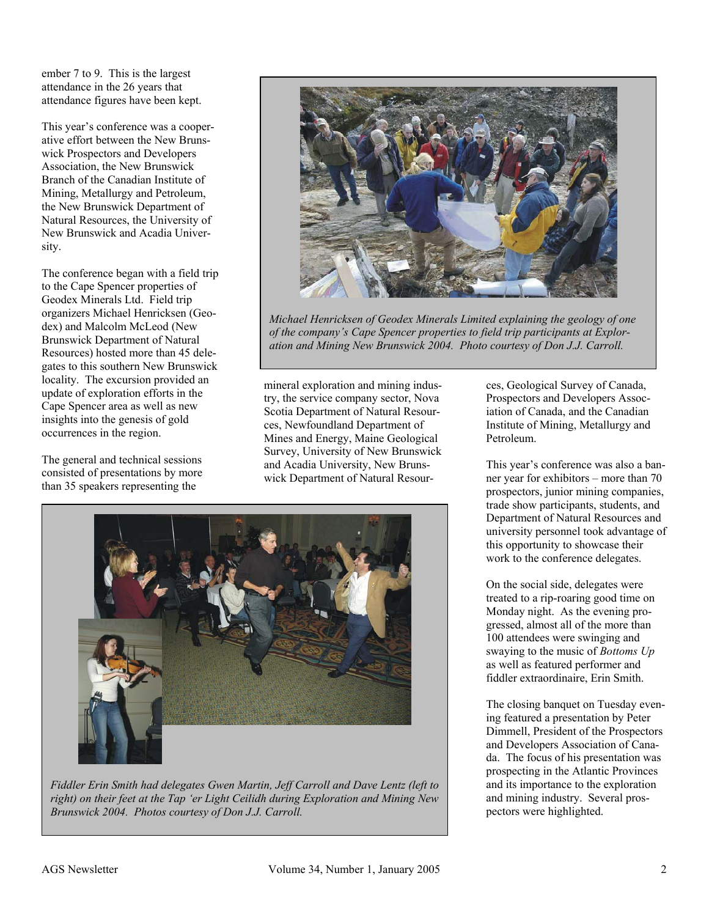ember 7 to 9. This is the largest attendance in the 26 years that attendance figures have been kept.

This year's conference was a cooperative effort between the New Brunswick Prospectors and Developers Association, the New Brunswick Branch of the Canadian Institute of Mining, Metallurgy and Petroleum, the New Brunswick Department of Natural Resources, the University of New Brunswick and Acadia University.

The conference began with a field trip to the Cape Spencer properties of Geodex Minerals Ltd. Field trip organizers Michael Henricksen (Geodex) and Malcolm McLeod (New Brunswick Department of Natural Resources) hosted more than 45 delegates to this southern New Brunswick locality. The excursion provided an update of exploration efforts in the Cape Spencer area as well as new insights into the genesis of gold occurrences in the region.

The general and technical sessions consisted of presentations by more than 35 speakers representing the



*Michael Henricksen of Geodex Minerals Limited explaining the geology of one of the company's Cape Spencer properties to field trip participants at Exploration and Mining New Brunswick 2004. Photo courtesy of Don J.J. Carroll.* 

mineral exploration and mining industry, the service company sector, Nova Scotia Department of Natural Resources, Newfoundland Department of Mines and Energy, Maine Geological Survey, University of New Brunswick and Acadia University, New Brunswick Department of Natural Resour-



*Fiddler Erin Smith had delegates Gwen Martin, Jeff Carroll and Dave Lentz (left to right) on their feet at the Tap 'er Light Ceilidh during Exploration and Mining New Brunswick 2004. Photos courtesy of Don J.J. Carroll.* 

ces, Geological Survey of Canada, Prospectors and Developers Association of Canada, and the Canadian Institute of Mining, Metallurgy and Petroleum.

This year's conference was also a banner year for exhibitors – more than 70 prospectors, junior mining companies, trade show participants, students, and Department of Natural Resources and university personnel took advantage of this opportunity to showcase their work to the conference delegates.

On the social side, delegates were treated to a rip-roaring good time on Monday night. As the evening progressed, almost all of the more than 100 attendees were swinging and swaying to the music of *Bottoms Up* as well as featured performer and fiddler extraordinaire, Erin Smith.

The closing banquet on Tuesday evening featured a presentation by Peter Dimmell, President of the Prospectors and Developers Association of Canada. The focus of his presentation was prospecting in the Atlantic Provinces and its importance to the exploration and mining industry. Several prospectors were highlighted.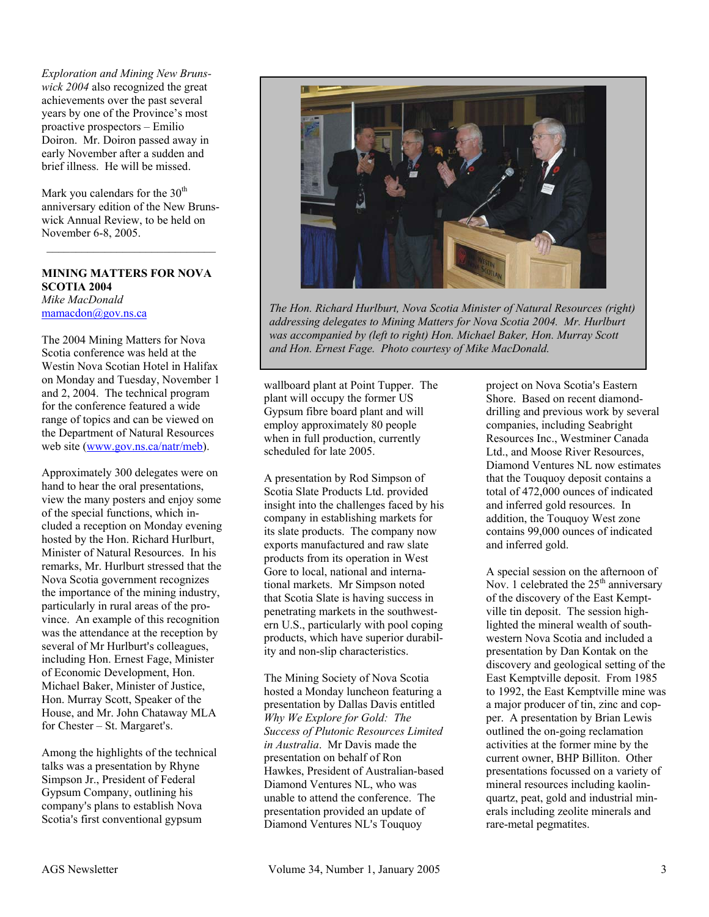*Exploration and Mining New Brunswick 2004* also recognized the great achievements over the past several years by one of the Province's most proactive prospectors – Emilio Doiron. Mr. Doiron passed away in early November after a sudden and brief illness. He will be missed.

Mark you calendars for the 30<sup>th</sup> anniversary edition of the New Brunswick Annual Review, to be held on November 6-8, 2005.

 $\mathcal{L}_\text{max}$ 

## **MINING MATTERS FOR NOVA SCOTIA 2004**

*Mike MacDonald*  mamacdon@gov.ns.ca

The 2004 Mining Matters for Nova Scotia conference was held at the Westin Nova Scotian Hotel in Halifax on Monday and Tuesday, November 1 and 2, 2004. The technical program for the conference featured a wide range of topics and can be viewed on the Department of Natural Resources web site (www.gov.ns.ca/natr/meb).

Approximately 300 delegates were on hand to hear the oral presentations, view the many posters and enjoy some of the special functions, which included a reception on Monday evening hosted by the Hon. Richard Hurlburt, Minister of Natural Resources. In his remarks, Mr. Hurlburt stressed that the Nova Scotia government recognizes the importance of the mining industry, particularly in rural areas of the province. An example of this recognition was the attendance at the reception by several of Mr Hurlburt's colleagues, including Hon. Ernest Fage, Minister of Economic Development, Hon. Michael Baker, Minister of Justice, Hon. Murray Scott, Speaker of the House, and Mr. John Chataway MLA for Chester  $-$  St. Margaret's.

Among the highlights of the technical talks was a presentation by Rhyne Simpson Jr., President of Federal Gypsum Company, outlining his company's plans to establish Nova Scotia's first conventional gypsum



*The Hon. Richard Hurlburt, Nova Scotia Minister of Natural Resources (right) addressing delegates to Mining Matters for Nova Scotia 2004. Mr. Hurlburt was accompanied by (left to right) Hon. Michael Baker, Hon. Murray Scott and Hon. Ernest Fage. Photo courtesy of Mike MacDonald.* 

wallboard plant at Point Tupper. The plant will occupy the former US Gypsum fibre board plant and will employ approximately 80 people when in full production, currently scheduled for late 2005.

A presentation by Rod Simpson of Scotia Slate Products Ltd. provided insight into the challenges faced by his company in establishing markets for its slate products. The company now exports manufactured and raw slate products from its operation in West Gore to local, national and international markets. Mr Simpson noted that Scotia Slate is having success in penetrating markets in the southwestern U.S., particularly with pool coping products, which have superior durability and non-slip characteristics.

The Mining Society of Nova Scotia hosted a Monday luncheon featuring a presentation by Dallas Davis entitled *Why We Explore for Gold: The Success of Plutonic Resources Limited in Australia*. Mr Davis made the presentation on behalf of Ron Hawkes, President of Australian-based Diamond Ventures NL, who was unable to attend the conference. The presentation provided an update of Diamond Ventures NL's Touquoy

project on Nova Scotia's Eastern Shore. Based on recent diamonddrilling and previous work by several companies, including Seabright Resources Inc., Westminer Canada Ltd., and Moose River Resources, Diamond Ventures NL now estimates that the Touquoy deposit contains a total of 472,000 ounces of indicated and inferred gold resources. In addition, the Touquoy West zone contains 99,000 ounces of indicated and inferred gold.

A special session on the afternoon of Nov. 1 celebrated the  $25<sup>th</sup>$  anniversary of the discovery of the East Kemptville tin deposit. The session highlighted the mineral wealth of southwestern Nova Scotia and included a presentation by Dan Kontak on the discovery and geological setting of the East Kemptville deposit. From 1985 to 1992, the East Kemptville mine was a major producer of tin, zinc and copper. A presentation by Brian Lewis outlined the on-going reclamation activities at the former mine by the current owner, BHP Billiton. Other presentations focussed on a variety of mineral resources including kaolinquartz, peat, gold and industrial minerals including zeolite minerals and rare-metal pegmatites.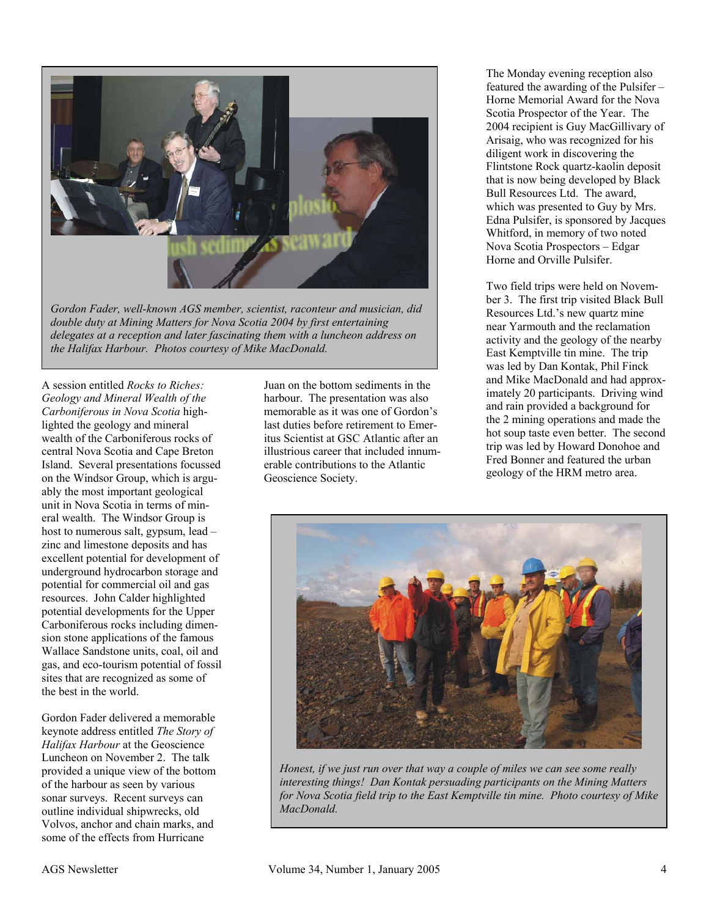

*Gordon Fader, well-known AGS member, scientist, raconteur and musician, did double duty at Mining Matters for Nova Scotia 2004 by first entertaining delegates at a reception and later fascinating them with a luncheon address on the Halifax Harbour. Photos courtesy of Mike MacDonald.*

A session entitled *Rocks to Riches: Geology and Mineral Wealth of the Carboniferous in Nova Scotia* highlighted the geology and mineral wealth of the Carboniferous rocks of central Nova Scotia and Cape Breton Island. Several presentations focussed on the Windsor Group, which is arguably the most important geological unit in Nova Scotia in terms of mineral wealth. The Windsor Group is host to numerous salt, gypsum, lead – zinc and limestone deposits and has excellent potential for development of underground hydrocarbon storage and potential for commercial oil and gas resources. John Calder highlighted potential developments for the Upper Carboniferous rocks including dimension stone applications of the famous Wallace Sandstone units, coal, oil and gas, and eco-tourism potential of fossil sites that are recognized as some of the best in the world.

Gordon Fader delivered a memorable keynote address entitled *The Story of Halifax Harbour* at the Geoscience Luncheon on November 2. The talk provided a unique view of the bottom of the harbour as seen by various sonar surveys. Recent surveys can outline individual shipwrecks, old Volvos, anchor and chain marks, and some of the effects from Hurricane

Juan on the bottom sediments in the harbour. The presentation was also memorable as it was one of Gordon's last duties before retirement to Emeritus Scientist at GSC Atlantic after an illustrious career that included innumerable contributions to the Atlantic Geoscience Society.

The Monday evening reception also featured the awarding of the Pulsifer – Horne Memorial Award for the Nova Scotia Prospector of the Year. The 2004 recipient is Guy MacGillivary of Arisaig, who was recognized for his diligent work in discovering the Flintstone Rock quartz-kaolin deposit that is now being developed by Black Bull Resources Ltd. The award, which was presented to Guy by Mrs. Edna Pulsifer, is sponsored by Jacques Whitford, in memory of two noted Nova Scotia Prospectors – Edgar Horne and Orville Pulsifer.

Two field trips were held on November 3. The first trip visited Black Bull Resources Ltd.'s new quartz mine near Yarmouth and the reclamation activity and the geology of the nearby East Kemptville tin mine. The trip was led by Dan Kontak, Phil Finck and Mike MacDonald and had approximately 20 participants. Driving wind and rain provided a background for the 2 mining operations and made the hot soup taste even better. The second trip was led by Howard Donohoe and Fred Bonner and featured the urban geology of the HRM metro area.



*Honest, if we just run over that way a couple of miles we can see some really interesting things! Dan Kontak persuading participants on the Mining Matters for Nova Scotia field trip to the East Kemptville tin mine. Photo courtesy of Mike MacDonald.*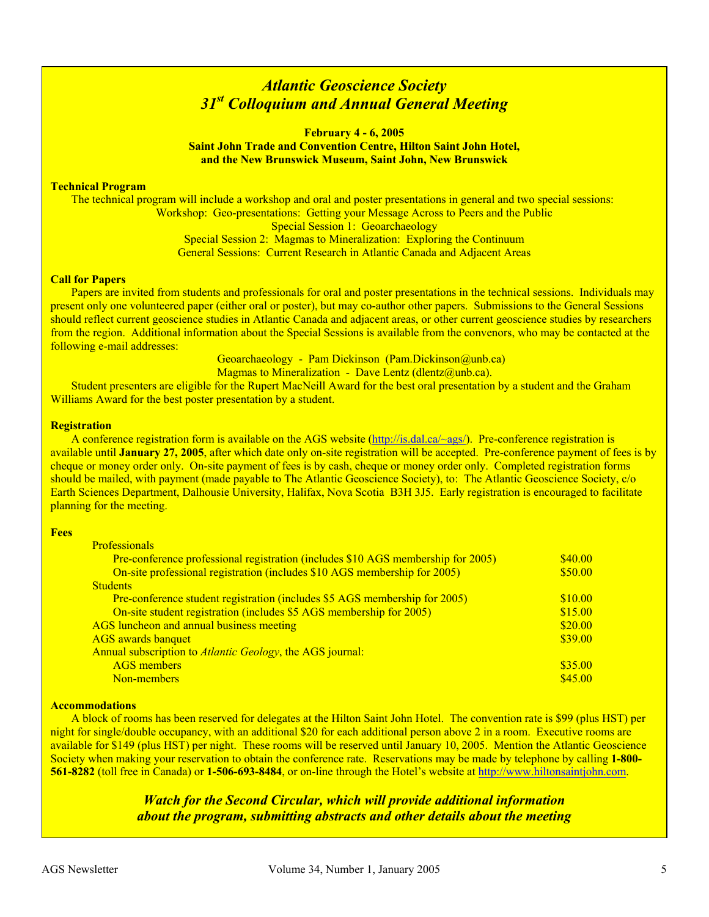## *Atlantic Geoscience Society 31st Colloquium and Annual General Meeting*

**February 4 - 6, 2005 Saint John Trade and Convention Centre, Hilton Saint John Hotel, and the New Brunswick Museum, Saint John, New Brunswick** 

#### **Technical Program**

The technical program will include a workshop and oral and poster presentations in general and two special sessions: Workshop: Geo-presentations: Getting your Message Across to Peers and the Public Special Session 1: Geoarchaeology Special Session 2: Magmas to Mineralization: Exploring the Continuum General Sessions: Current Research in Atlantic Canada and Adjacent Areas

#### **Call for Papers**

Papers are invited from students and professionals for oral and poster presentations in the technical sessions. Individuals may present only one volunteered paper (either oral or poster), but may co-author other papers. Submissions to the General Sessions should reflect current geoscience studies in Atlantic Canada and adjacent areas, or other current geoscience studies by researchers from the region. Additional information about the Special Sessions is available from the convenors, who may be contacted at the following e-mail addresses:

> Geoarchaeology - Pam Dickinson (Pam.Dickinson@unb.ca) Magmas to Mineralization - Dave Lentz (dlentz@unb.ca).

Student presenters are eligible for the Rupert MacNeill Award for the best oral presentation by a student and the Graham Williams Award for the best poster presentation by a student.

#### **Registration**

A conference registration form is available on the AGS website (http://is.dal.ca/~ags/). Pre-conference registration is available until **January 27, 2005**, after which date only on-site registration will be accepted. Pre-conference payment of fees is by cheque or money order only. On-site payment of fees is by cash, cheque or money order only. Completed registration forms should be mailed, with payment (made payable to The Atlantic Geoscience Society), to: The Atlantic Geoscience Society, c/o Earth Sciences Department, Dalhousie University, Halifax, Nova Scotia B3H 3J5. Early registration is encouraged to facilitate planning for the meeting.

#### **Fees**

| <b>Professionals</b>                                                             |         |
|----------------------------------------------------------------------------------|---------|
| Pre-conference professional registration (includes \$10 AGS membership for 2005) | \$40.00 |
| On-site professional registration (includes \$10 AGS membership for 2005)        | \$50.00 |
| <b>Students</b>                                                                  |         |
| Pre-conference student registration (includes \$5 AGS membership for 2005)       | \$10.00 |
| On-site student registration (includes \$5 AGS membership for 2005)              | \$15.00 |
| AGS luncheon and annual business meeting                                         | \$20.00 |
| <b>AGS</b> awards banquet                                                        | \$39.00 |
| Annual subscription to <i>Atlantic Geology</i> , the AGS journal:                |         |
| <b>AGS</b> members                                                               | \$35.00 |
| Non-members                                                                      | \$45.00 |

#### **Accommodations**

A block of rooms has been reserved for delegates at the Hilton Saint John Hotel. The convention rate is \$99 (plus HST) per night for single/double occupancy, with an additional \$20 for each additional person above 2 in a room. Executive rooms are available for \$149 (plus HST) per night. These rooms will be reserved until January 10, 2005. Mention the Atlantic Geoscience Society when making your reservation to obtain the conference rate. Reservations may be made by telephone by calling **1-800- 561-8282** (toll free in Canada) or **1-506-693-8484**, or on-line through the Hotel's website at http://www.hiltonsaintjohn.com.

## *Watch for the Second Circular, which will provide additional information about the program, submitting abstracts and other details about the meeting*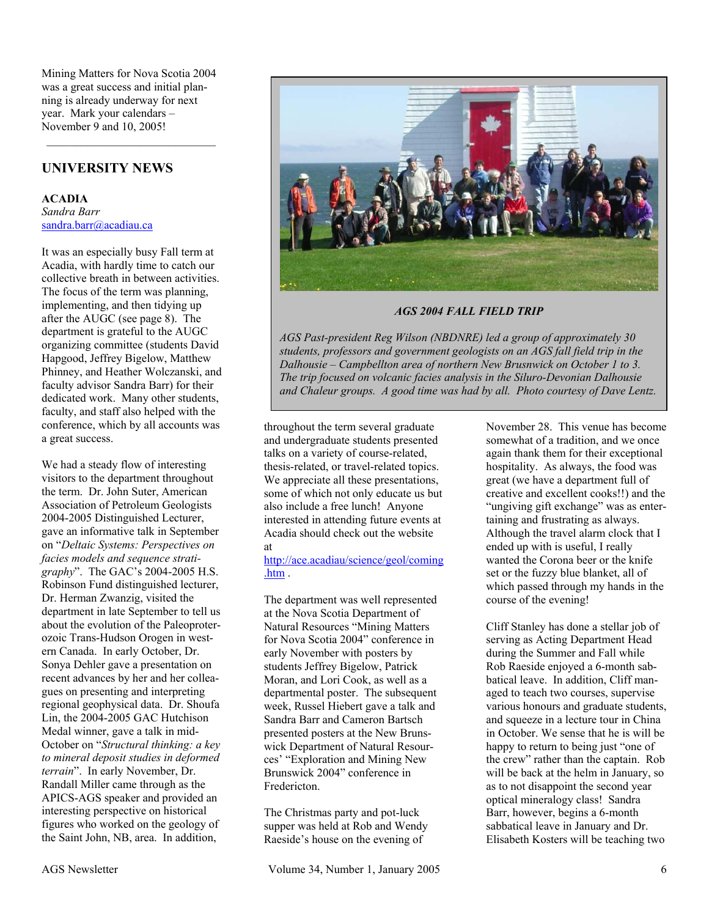Mining Matters for Nova Scotia 2004 was a great success and initial planning is already underway for next year. Mark your calendars – November 9 and 10, 2005!

## **UNIVERSITY NEWS**

**ACADIA**  *Sandra Barr*  sandra.barr@acadiau.ca

It was an especially busy Fall term at Acadia, with hardly time to catch our collective breath in between activities. The focus of the term was planning, implementing, and then tidying up after the AUGC (see page 8). The department is grateful to the AUGC organizing committee (students David Hapgood, Jeffrey Bigelow, Matthew Phinney, and Heather Wolczanski, and faculty advisor Sandra Barr) for their dedicated work. Many other students, faculty, and staff also helped with the conference, which by all accounts was a great success.

We had a steady flow of interesting visitors to the department throughout the term. Dr. John Suter, American Association of Petroleum Geologists 2004-2005 Distinguished Lecturer, gave an informative talk in September on "*Deltaic Systems: Perspectives on facies models and sequence stratigraphy*". The GAC's 2004-2005 H.S. Robinson Fund distinguished lecturer, Dr. Herman Zwanzig, visited the department in late September to tell us about the evolution of the Paleoproterozoic Trans-Hudson Orogen in western Canada. In early October, Dr. Sonya Dehler gave a presentation on recent advances by her and her colleagues on presenting and interpreting regional geophysical data. Dr. Shoufa Lin, the 2004-2005 GAC Hutchison Medal winner, gave a talk in mid-October on "*Structural thinking: a key to mineral deposit studies in deformed terrain*". In early November, Dr. Randall Miller came through as the APICS-AGS speaker and provided an interesting perspective on historical figures who worked on the geology of the Saint John, NB, area. In addition,



*AGS 2004 FALL FIELD TRIP* 

*AGS Past-president Reg Wilson (NBDNRE) led a group of approximately 30 students, professors and government geologists on an AGS fall field trip in the Dalhousie – Campbellton area of northern New Brusnwick on October 1 to 3. The trip focused on volcanic facies analysis in the Siluro-Devonian Dalhousie and Chaleur groups. A good time was had by all. Photo courtesy of Dave Lentz.*

throughout the term several graduate and undergraduate students presented talks on a variety of course-related, thesis-related, or travel-related topics. We appreciate all these presentations. some of which not only educate us but also include a free lunch! Anyone interested in attending future events at Acadia should check out the website at

http://ace.acadiau/science/geol/coming .htm .

The department was well represented at the Nova Scotia Department of Natural Resources "Mining Matters for Nova Scotia 2004" conference in early November with posters by students Jeffrey Bigelow, Patrick Moran, and Lori Cook, as well as a departmental poster. The subsequent week, Russel Hiebert gave a talk and Sandra Barr and Cameron Bartsch presented posters at the New Brunswick Department of Natural Resources' "Exploration and Mining New Brunswick 2004" conference in **Fredericton** 

The Christmas party and pot-luck supper was held at Rob and Wendy Raeside's house on the evening of

November 28. This venue has become somewhat of a tradition, and we once again thank them for their exceptional hospitality. As always, the food was great (we have a department full of creative and excellent cooks!!) and the "ungiving gift exchange" was as entertaining and frustrating as always. Although the travel alarm clock that I ended up with is useful, I really wanted the Corona beer or the knife set or the fuzzy blue blanket, all of which passed through my hands in the course of the evening!

Cliff Stanley has done a stellar job of serving as Acting Department Head during the Summer and Fall while Rob Raeside enjoyed a 6-month sabbatical leave. In addition, Cliff managed to teach two courses, supervise various honours and graduate students, and squeeze in a lecture tour in China in October. We sense that he is will be happy to return to being just "one of the crew" rather than the captain. Rob will be back at the helm in January, so as to not disappoint the second year optical mineralogy class! Sandra Barr, however, begins a 6-month sabbatical leave in January and Dr. Elisabeth Kosters will be teaching two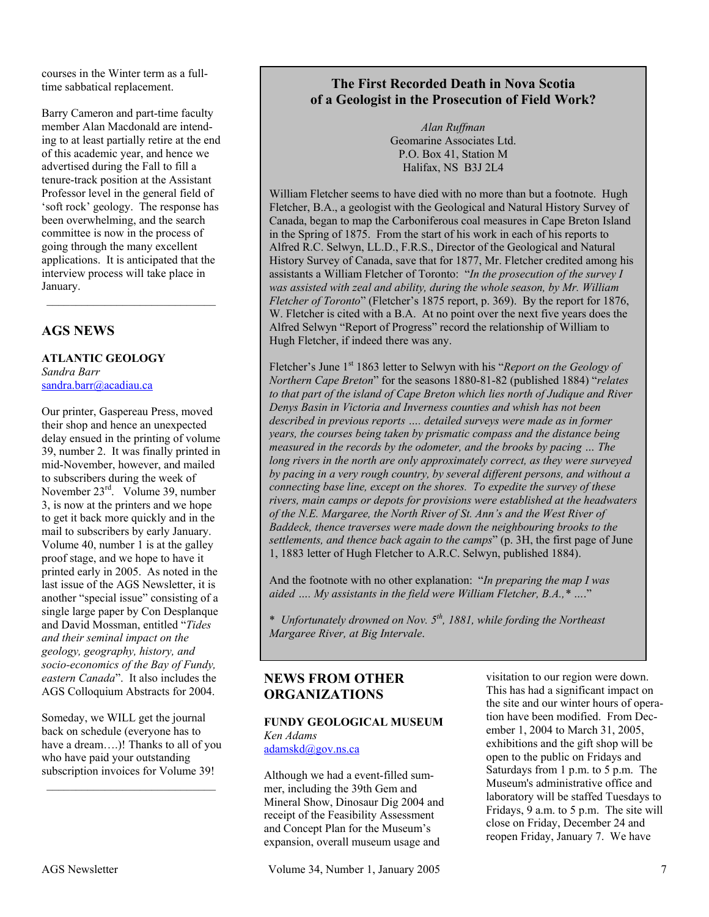courses in the Winter term as a fulltime sabbatical replacement.

Barry Cameron and part-time faculty member Alan Macdonald are intending to at least partially retire at the end of this academic year, and hence we advertised during the Fall to fill a tenure-track position at the Assistant Professor level in the general field of 'soft rock' geology. The response has been overwhelming, and the search committee is now in the process of going through the many excellent applications. It is anticipated that the interview process will take place in January.

## **AGS NEWS**

**ATLANTIC GEOLOGY** *Sandra Barr*  sandra.barr@acadiau.ca

Our printer, Gaspereau Press, moved their shop and hence an unexpected delay ensued in the printing of volume 39, number 2. It was finally printed in mid-November, however, and mailed to subscribers during the week of November 23rd. Volume 39, number 3, is now at the printers and we hope to get it back more quickly and in the mail to subscribers by early January. Volume 40, number 1 is at the galley proof stage, and we hope to have it printed early in 2005. As noted in the last issue of the AGS Newsletter, it is another "special issue" consisting of a single large paper by Con Desplanque and David Mossman, entitled "*Tides and their seminal impact on the geology, geography, history, and socio-economics of the Bay of Fundy, eastern Canada*". It also includes the AGS Colloquium Abstracts for 2004.

Someday, we WILL get the journal back on schedule (everyone has to have a dream….)! Thanks to all of you who have paid your outstanding subscription invoices for Volume 39!

## **The First Recorded Death in Nova Scotia of a Geologist in the Prosecution of Field Work?**

*Alan Ruffman*  Geomarine Associates Ltd. P.O. Box 41, Station M Halifax, NS B3J 2L4

William Fletcher seems to have died with no more than but a footnote. Hugh Fletcher, B.A., a geologist with the Geological and Natural History Survey of Canada, began to map the Carboniferous coal measures in Cape Breton Island in the Spring of 1875. From the start of his work in each of his reports to Alfred R.C. Selwyn, LL.D., F.R.S., Director of the Geological and Natural History Survey of Canada, save that for 1877, Mr. Fletcher credited among his assistants a William Fletcher of Toronto: "*In the prosecution of the survey I was assisted with zeal and ability, during the whole season, by Mr. William Fletcher of Toronto*" (Fletcher's 1875 report, p. 369). By the report for 1876, W. Fletcher is cited with a B.A. At no point over the next five years does the Alfred Selwyn "Report of Progress" record the relationship of William to Hugh Fletcher, if indeed there was any.

Fletcher's June 1st 1863 letter to Selwyn with his "*Report on the Geology of Northern Cape Breton*" for the seasons 1880-81-82 (published 1884) "*relates to that part of the island of Cape Breton which lies north of Judique and River Denys Basin in Victoria and Inverness counties and whish has not been described in previous reports …. detailed surveys were made as in former years, the courses being taken by prismatic compass and the distance being measured in the records by the odometer, and the brooks by pacing … The long rivers in the north are only approximately correct, as they were surveyed by pacing in a very rough country, by several different persons, and without a connecting base line, except on the shores. To expedite the survey of these rivers, main camps or depots for provisions were established at the headwaters of the N.E. Margaree, the North River of St. Ann's and the West River of Baddeck, thence traverses were made down the neighbouring brooks to the settlements, and thence back again to the camps*" (p. 3H, the first page of June 1, 1883 letter of Hugh Fletcher to A.R.C. Selwyn, published 1884).

And the footnote with no other explanation: "*In preparing the map I was aided …. My assistants in the field were William Fletcher, B.A.,\* …*."

\* *Unfortunately drowned on Nov. 5th, 1881, while fording the Northeast Margaree River, at Big Intervale*.

## **NEWS FROM OTHER ORGANIZATIONS**

**FUNDY GEOLOGICAL MUSEUM**  *Ken Adams*  adamskd@gov.ns.ca

Although we had a event-filled summer, including the 39th Gem and Mineral Show, Dinosaur Dig 2004 and receipt of the Feasibility Assessment and Concept Plan for the Museum's expansion, overall museum usage and

visitation to our region were down. This has had a significant impact on the site and our winter hours of operation have been modified. From December 1, 2004 to March 31, 2005, exhibitions and the gift shop will be open to the public on Fridays and Saturdays from 1 p.m. to 5 p.m. The Museum's administrative office and laboratory will be staffed Tuesdays to Fridays, 9 a.m. to 5 p.m. The site will close on Friday, December 24 and reopen Friday, January 7. We have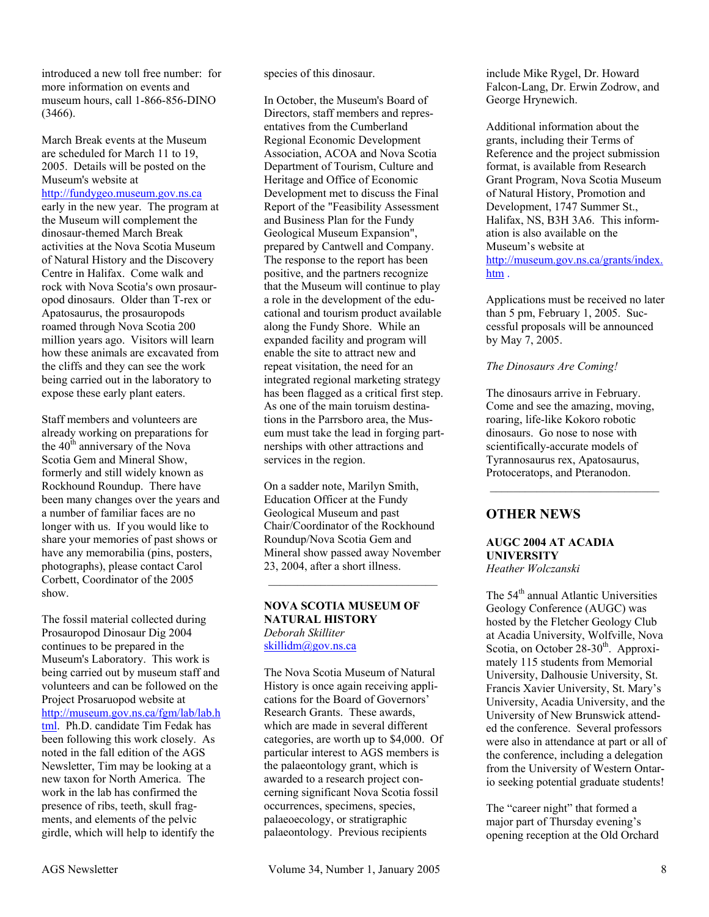introduced a new toll free number: for more information on events and museum hours, call 1-866-856-DINO (3466).

March Break events at the Museum are scheduled for March 11 to 19, 2005. Details will be posted on the Museum's website at http://fundygeo.museum.gov.ns.ca early in the new year. The program at the Museum will complement the dinosaur-themed March Break activities at the Nova Scotia Museum of Natural History and the Discovery Centre in Halifax. Come walk and rock with Nova Scotia's own prosauropod dinosaurs. Older than T-rex or Apatosaurus, the prosauropods roamed through Nova Scotia 200 million years ago. Visitors will learn how these animals are excavated from the cliffs and they can see the work being carried out in the laboratory to expose these early plant eaters.

Staff members and volunteers are already working on preparations for the 40<sup>th</sup> anniversary of the Nova Scotia Gem and Mineral Show, formerly and still widely known as Rockhound Roundup. There have been many changes over the years and a number of familiar faces are no longer with us. If you would like to share your memories of past shows or have any memorabilia (pins, posters, photographs), please contact Carol Corbett, Coordinator of the 2005 show.

The fossil material collected during Prosauropod Dinosaur Dig 2004 continues to be prepared in the Museum's Laboratory. This work is being carried out by museum staff and volunteers and can be followed on the Project Prosaruopod website at http://museum.gov.ns.ca/fgm/lab/lab.h tml. Ph.D. candidate Tim Fedak has been following this work closely. As noted in the fall edition of the AGS Newsletter, Tim may be looking at a new taxon for North America. The work in the lab has confirmed the presence of ribs, teeth, skull fragments, and elements of the pelvic girdle, which will help to identify the

species of this dinosaur.

In October, the Museum's Board of Directors, staff members and representatives from the Cumberland Regional Economic Development Association, ACOA and Nova Scotia Department of Tourism, Culture and Heritage and Office of Economic Development met to discuss the Final Report of the "Feasibility Assessment and Business Plan for the Fundy Geological Museum Expansion", prepared by Cantwell and Company. The response to the report has been positive, and the partners recognize that the Museum will continue to play a role in the development of the educational and tourism product available along the Fundy Shore. While an expanded facility and program will enable the site to attract new and repeat visitation, the need for an integrated regional marketing strategy has been flagged as a critical first step. As one of the main toruism destinations in the Parrsboro area, the Museum must take the lead in forging partnerships with other attractions and services in the region.

On a sadder note, Marilyn Smith, Education Officer at the Fundy Geological Museum and past Chair/Coordinator of the Rockhound Roundup/Nova Scotia Gem and Mineral show passed away November 23, 2004, after a short illness.

#### **NOVA SCOTIA MUSEUM OF NATURAL HISTORY**  *Deborah Skilliter*  skillidm@gov.ns.ca

The Nova Scotia Museum of Natural History is once again receiving applications for the Board of Governors' Research Grants. These awards, which are made in several different categories, are worth up to \$4,000. Of particular interest to AGS members is the palaeontology grant, which is awarded to a research project concerning significant Nova Scotia fossil occurrences, specimens, species, palaeoecology, or stratigraphic palaeontology. Previous recipients

include Mike Rygel, Dr. Howard Falcon-Lang, Dr. Erwin Zodrow, and George Hrynewich.

Additional information about the grants, including their Terms of Reference and the project submission format, is available from Research Grant Program, Nova Scotia Museum of Natural History, Promotion and Development, 1747 Summer St., Halifax, NS, B3H 3A6. This information is also available on the Museum's website at http://museum.gov.ns.ca/grants/index. htm.

Applications must be received no later than 5 pm, February 1, 2005. Successful proposals will be announced by May 7, 2005.

#### *The Dinosaurs Are Coming!*

The dinosaurs arrive in February. Come and see the amazing, moving, roaring, life-like Kokoro robotic dinosaurs. Go nose to nose with scientifically-accurate models of Tyrannosaurus rex, Apatosaurus, Protoceratops, and Pteranodon.

 $\mathcal{L}_\text{max}$ 

## **OTHER NEWS**

## **AUGC 2004 AT ACADIA UNIVERSITY**

*Heather Wolczanski* 

The 54<sup>th</sup> annual Atlantic Universities Geology Conference (AUGC) was hosted by the Fletcher Geology Club at Acadia University, Wolfville, Nova Scotia, on October  $28-30^{\text{th}}$ . Approximately 115 students from Memorial University, Dalhousie University, St. Francis Xavier University, St. Mary's University, Acadia University, and the University of New Brunswick attended the conference. Several professors were also in attendance at part or all of the conference, including a delegation from the University of Western Ontario seeking potential graduate students!

The "career night" that formed a major part of Thursday evening's opening reception at the Old Orchard